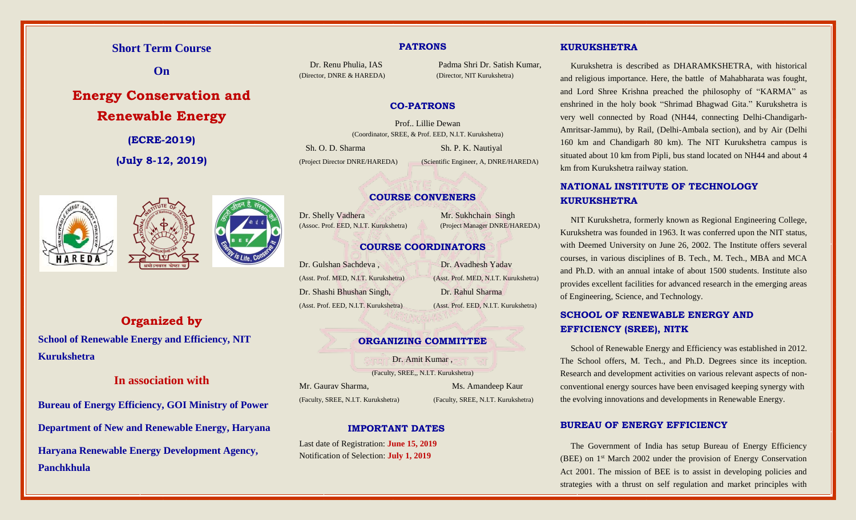# **Short Term Course**

**On**

# **Energy Conservation and Renewable Energy**

**(ECRE-2019)**

**(July 8-12, 2019)**



# **Organized by**

**School of Renewable Energy and Efficiency, NIT Kurukshetra**

# **In association with**

**Bureau of Energy Efficiency, GOI Ministry of Power Department of New and Renewable Energy, Haryana Haryana Renewable Energy Development Agency, Panchkhula**

#### **PATRONS**

(Director, DNRE & HAREDA) (Director, NIT Kurukshetra)

Dr. Renu Phulia, IAS Padma Shri Dr. Satish Kumar,

#### **CO-PATRONS**

Prof.. Lillie Dewan (Coordinator, SREE, & Prof. EED, N.I.T. Kurukshetra) Sh. O. D. Sharma Sh. P. K. Nautiyal (Project Director DNRE/HAREDA) (Scientific Engineer, A, DNRE/HAREDA)

### **COURSE CONVENERS**

Dr. Shelly Vadhera Mr. Sukhchain Singh

(Assoc. Prof. EED, N.I.T. Kurukshetra) (Project Manager DNRE/HAREDA)

#### **COURSE COORDINATORS**

Dr. Gulshan Sachdeva , Dr. Avadhesh Yadav (Asst. Prof. MED, N.I.T. Kurukshetra) (Asst. Prof. MED, N.I.T. Kurukshetra) Dr. Shashi Bhushan Singh, Dr. Rahul Sharma

(Asst. Prof. EED, N.I.T. Kurukshetra) (Asst. Prof. EED, N.I.T. Kurukshetra)

#### **ORGANIZING COMMITTEE**

Dr. Amit Kumar ,

(Faculty, SREE,, N.I.T. Kurukshetra)

(Faculty, SREE, N.I.T. Kurukshetra) (Faculty, SREE, N.I.T. Kurukshetra)

Mr. Gaurav Sharma, Ms. Amandeep Kaur

#### **IMPORTANT DATES**

Last date of Registration: **June 15, 2019** Notification of Selection: **July 1, 2019**

#### **KURUKSHETRA**

Kurukshetra is described as DHARAMKSHETRA, with historical and religious importance. Here, the battle of Mahabharata was fought, and Lord Shree Krishna preached the philosophy of "KARMA" as enshrined in the holy book "Shrimad Bhagwad Gita." Kurukshetra is very well connected by Road (NH44, connecting Delhi-Chandigarh-Amritsar-Jammu), by Rail, (Delhi-Ambala section), and by Air (Delhi 160 km and Chandigarh 80 km). The NIT Kurukshetra campus is situated about 10 km from Pipli, bus stand located on NH44 and about 4 km from Kurukshetra railway station.

# **NATIONAL INSTITUTE OF TECHNOLOGY KURUKSHETRA**

NIT Kurukshetra, formerly known as Regional Engineering College, Kurukshetra was founded in 1963. It was conferred upon the NIT status, with Deemed University on June 26, 2002. The Institute offers several courses, in various disciplines of B. Tech., M. Tech., MBA and MCA and Ph.D. with an annual intake of about 1500 students. Institute also provides excellent facilities for advanced research in the emerging areas of Engineering, Science, and Technology.

## **SCHOOL OF RENEWABLE ENERGY AND EFFICIENCY (SREE), NITK**

School of Renewable Energy and Efficiency was established in 2012. The School offers, M. Tech., and Ph.D. Degrees since its inception. Research and development activities on various relevant aspects of nonconventional energy sources have been envisaged keeping synergy with the evolving innovations and developments in Renewable Energy.

#### **BUREAU OF ENERGY EFFICIENCY**

The Government of India has setup Bureau of Energy Efficiency (BEE) on 1st March 2002 under the provision of Energy Conservation Act 2001. The mission of BEE is to assist in developing policies and strategies with a thrust on self regulation and market principles with